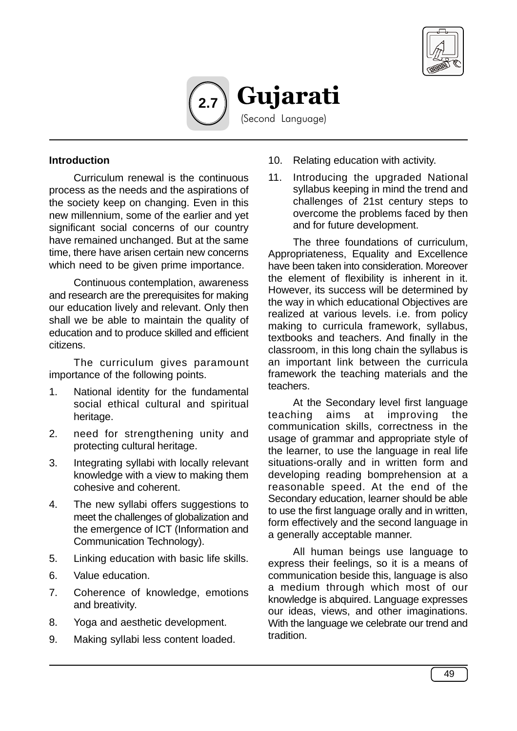



#### **Introduction**

Curriculum renewal is the continuous process as the needs and the aspirations of the society keep on changing. Even in this new millennium, some of the earlier and yet significant social concerns of our country have remained unchanged. But at the same time, there have arisen certain new concerns which need to be given prime importance.

Continuous contemplation, awareness and research are the prerequisites for making our education lively and relevant. Only then shall we be able to maintain the quality of education and to produce skilled and efficient citizens.

The curriculum gives paramount importance of the following points.

- 1. National identity for the fundamental social ethical cultural and spiritual heritage.
- 2. need for strengthening unity and protecting cultural heritage.
- 3. Integrating syllabi with locally relevant knowledge with a view to making them cohesive and coherent.
- 4. The new syllabi offers suggestions to meet the challenges of globalization and the emergence of ICT (Information and Communication Technology).
- 5. Linking education with basic life skills.
- 6. Value education.
- 7. Coherence of knowledge, emotions and breativity.
- 8. Yoga and aesthetic development.
- 9. Making syllabi less content loaded.
- 10. Relating education with activity.
- 11. Introducing the upgraded National syllabus keeping in mind the trend and challenges of 21st century steps to overcome the problems faced by then and for future development.

The three foundations of curriculum, Appropriateness, Equality and Excellence have been taken into consideration. Moreover the element of flexibility is inherent in it. However, its success will be determined by the way in which educational Objectives are realized at various levels. i.e. from policy making to curricula framework, syllabus, textbooks and teachers. And finally in the classroom, in this long chain the syllabus is an important link between the curricula framework the teaching materials and the teachers.

At the Secondary level first language teaching aims at improving the communication skills, correctness in the usage of grammar and appropriate style of the learner, to use the language in real life situations-orally and in written form and developing reading bomprehension at a reasonable speed. At the end of the Secondary education, learner should be able to use the first language orally and in written, form effectively and the second language in a generally acceptable manner.

All human beings use language to express their feelings, so it is a means of communication beside this, language is also a medium through which most of our knowledge is abquired. Language expresses our ideas, views, and other imaginations. With the language we celebrate our trend and tradition.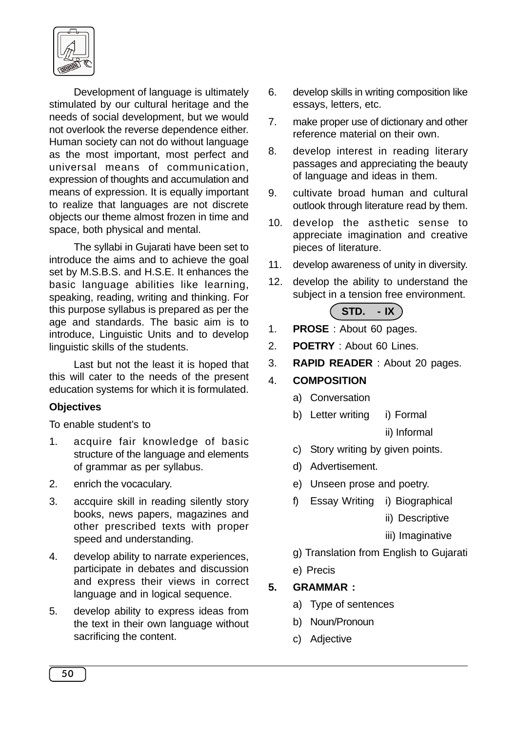

Development of language is ultimately stimulated by our cultural heritage and the needs of social development, but we would not overlook the reverse dependence either. Human society can not do without language as the most important, most perfect and universal means of communication, expression of thoughts and accumulation and means of expression. It is equally important to realize that languages are not discrete objects our theme almost frozen in time and space, both physical and mental.

The syllabi in Gujarati have been set to introduce the aims and to achieve the goal set by M.S.B.S. and H.S.E. It enhances the basic language abilities like learning, speaking, reading, writing and thinking. For this purpose syllabus is prepared as per the age and standards. The basic aim is to introduce, Linguistic Units and to develop linguistic skills of the students.

Last but not the least it is hoped that this will cater to the needs of the present education systems for which it is formulated.

#### **Objectives**

To enable student's to

- 1. acquire fair knowledge of basic structure of the language and elements of grammar as per syllabus.
- 2. enrich the vocaculary.
- 3. accquire skill in reading silently story books, news papers, magazines and other prescribed texts with proper speed and understanding.
- 4. develop ability to narrate experiences, participate in debates and discussion and express their views in correct language and in logical sequence.
- 5. develop ability to express ideas from the text in their own language without sacrificing the content.
- 6. develop skills in writing composition like essays, letters, etc.
- 7. make proper use of dictionary and other reference material on their own.
- 8. develop interest in reading literary passages and appreciating the beauty of language and ideas in them.
- 9. cultivate broad human and cultural outlook through literature read by them.
- 10. develop the asthetic sense to appreciate imagination and creative pieces of literature.
- 11. develop awareness of unity in diversity.
- 12. develop the ability to understand the subject in a tension free environment.

# **STD. - IX**

- 1. **PROSE** : About 60 pages.
- 2. **POETRY** : About 60 Lines.
- 3. **RAPID READER** : About 20 pages.

## 4. **COMPOSITION**

- a) Conversation
- b) Letter writing i) Formal
	- ii) Informal
- c) Story writing by given points.
- d) Advertisement.
- e) Unseen prose and poetry.
- f) Essay Writing i) Biographical
	- ii) Descriptive
	- iii) Imaginative
- g) Translation from English to Gujarati
- e) Precis

## **5. GRAMMAR :**

- a) Type of sentences
- b) Noun/Pronoun
- c) Adjective